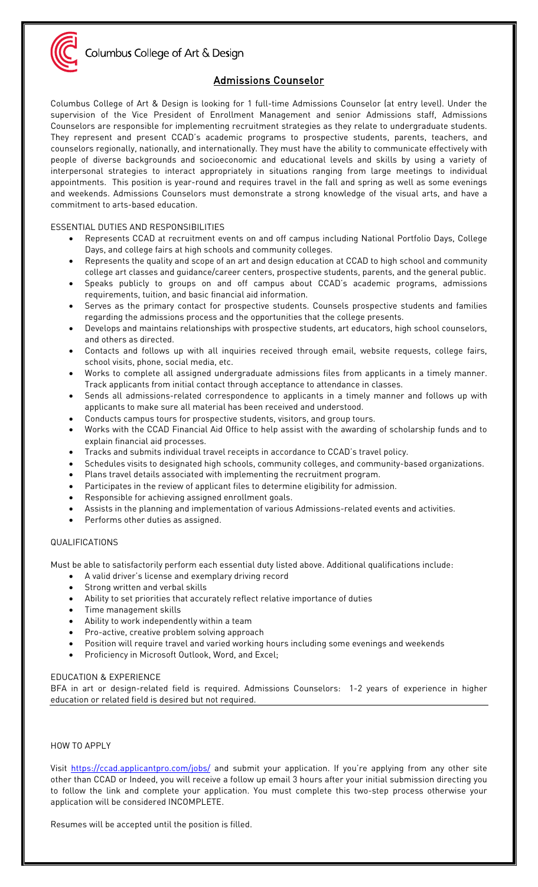

# Admissions Counselor

Columbus College of Art & Design is looking for 1 full-time Admissions Counselor (at entry level). Under the supervision of the Vice President of Enrollment Management and senior Admissions staff, Admissions Counselors are responsible for implementing recruitment strategies as they relate to undergraduate students. They represent and present CCAD's academic programs to prospective students, parents, teachers, and counselors regionally, nationally, and internationally. They must have the ability to communicate effectively with people of diverse backgrounds and socioeconomic and educational levels and skills by using a variety of interpersonal strategies to interact appropriately in situations ranging from large meetings to individual appointments. This position is year-round and requires travel in the fall and spring as well as some evenings and weekends. Admissions Counselors must demonstrate a strong knowledge of the visual arts, and have a commitment to arts-based education.

# ESSENTIAL DUTIES AND RESPONSIBILITIES

- Represents CCAD at recruitment events on and off campus including National Portfolio Days, College Days, and college fairs at high schools and community colleges.
- Represents the quality and scope of an art and design education at CCAD to high school and community college art classes and guidance/career centers, prospective students, parents, and the general public.
- Speaks publicly to groups on and off campus about CCAD's academic programs, admissions requirements, tuition, and basic financial aid information.
- Serves as the primary contact for prospective students. Counsels prospective students and families regarding the admissions process and the opportunities that the college presents.
- Develops and maintains relationships with prospective students, art educators, high school counselors, and others as directed.
- Contacts and follows up with all inquiries received through email, website requests, college fairs, school visits, phone, social media, etc.
- Works to complete all assigned undergraduate admissions files from applicants in a timely manner. Track applicants from initial contact through acceptance to attendance in classes.
- Sends all admissions-related correspondence to applicants in a timely manner and follows up with applicants to make sure all material has been received and understood.
- Conducts campus tours for prospective students, visitors, and group tours.
- Works with the CCAD Financial Aid Office to help assist with the awarding of scholarship funds and to explain financial aid processes.
- Tracks and submits individual travel receipts in accordance to CCAD's travel policy.
- Schedules visits to designated high schools, community colleges, and community-based organizations.
- Plans travel details associated with implementing the recruitment program.
- Participates in the review of applicant files to determine eligibility for admission.
- Responsible for achieving assigned enrollment goals.
- Assists in the planning and implementation of various Admissions-related events and activities.
- Performs other duties as assigned.

### QUALIFICATIONS

Must be able to satisfactorily perform each essential duty listed above. Additional qualifications include:

- A valid driver's license and exemplary driving record
- Strong written and verbal skills
- Ability to set priorities that accurately reflect relative importance of duties
- Time management skills
- Ability to work independently within a team
- Pro-active, creative problem solving approach
- Position will require travel and varied working hours including some evenings and weekends
- Proficiency in Microsoft Outlook, Word, and Excel;

### EDUCATION & EXPERIENCE

BFA in art or design-related field is required. Admissions Counselors: 1-2 years of experience in higher education or related field is desired but not required.

## HOW TO APPLY

Visit <https://ccad.applicantpro.com/jobs/> and submit your application. If you're applying from any other site other than CCAD or Indeed, you will receive a follow up email 3 hours after your initial submission directing you to follow the link and complete your application. You must complete this two-step process otherwise your application will be considered INCOMPLETE.

Resumes will be accepted until the position is filled.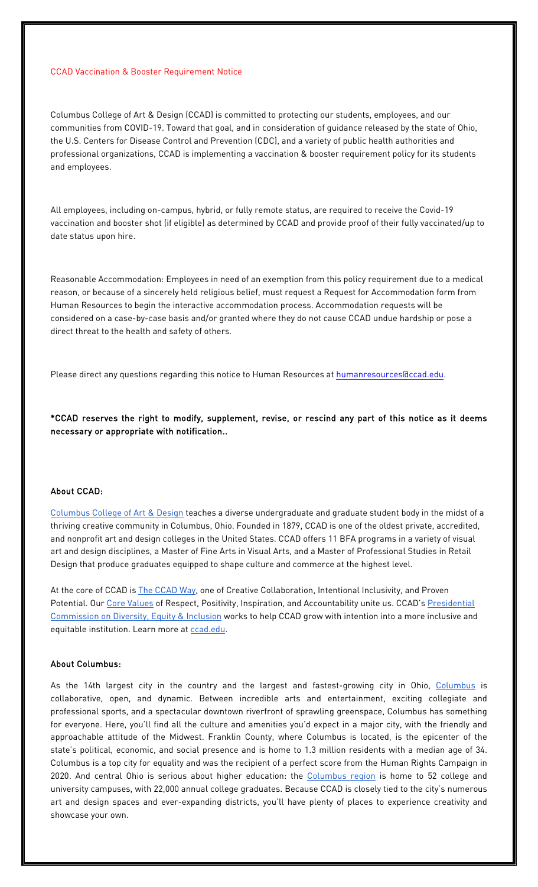#### CCAD Vaccination & Booster Requirement Notice

Columbus College of Art & Design (CCAD) is committed to protecting our students, employees, and our communities from COVID-19. Toward that goal, and in consideration of guidance released by the state of Ohio, the U.S. Centers for Disease Control and Prevention (CDC), and a variety of public health authorities and professional organizations, CCAD is implementing a vaccination & booster requirement policy for its students and employees.

All employees, including on-campus, hybrid, or fully remote status, are required to receive the Covid-19 vaccination and booster shot (if eligible) as determined by CCAD and provide proof of their fully vaccinated/up to date status upon hire.

Reasonable Accommodation: Employees in need of an exemption from this policy requirement due to a medical reason, or because of a sincerely held religious belief, must request a Request for Accommodation form from Human Resources to begin the interactive accommodation process. Accommodation requests will be considered on a case-by-case basis and/or granted where they do not cause CCAD undue hardship or pose a direct threat to the health and safety of others.

Please direct any questions regarding this notice to Human Resources at humanresources accad.edu.

\*CCAD reserves the right to modify, supplement, revise, or rescind any part of this notice as it deems necessary or appropriate with notification..

#### About CCAD:

[Columbus College of Art & Design](https://www.ccad.edu/) teaches a diverse undergraduate and graduate student body in the midst of a thriving creative community in Columbus, Ohio. Founded in 1879, CCAD is one of the oldest private, accredited, and nonprofit art and design colleges in the United States. CCAD offers 11 BFA programs in a variety of visual art and design disciplines, a Master of Fine Arts in Visual Arts, and a Master of Professional Studies in Retail Design that produce graduates equipped to shape culture and commerce at the highest level.

At the core of CCAD is **The CCAD Way, one of Creative Collaboration**, Intentional Inclusivity, and Proven Potential. Our [Core Values](https://www.ccad.edu/about-us/mission-statement) of Respect, Positivity, Inspiration, and Accountability unite us. CCAD's [Presidential](https://www.ccad.edu/presidential-commission-diversity-equity-inclusion)  [Commission on Diversity, Equity & Inclusion](https://www.ccad.edu/presidential-commission-diversity-equity-inclusion) works to help CCAD grow with intention into a more inclusive and equitable institution. Learn more at [ccad.edu.](http://ccad.edu/)

#### About Columbus:

As the 14th largest city in the country and the largest and fastest-growing city in Ohio, [Columbus](https://www.experiencecolumbus.com/) is collaborative, open, and dynamic. Between incredible arts and entertainment, exciting collegiate and professional sports, and a spectacular downtown riverfront of sprawling greenspace, Columbus has something for everyone. Here, you'll find all the culture and amenities you'd expect in a major city, with the friendly and approachable attitude of the Midwest. Franklin County, where Columbus is located, is the epicenter of the state's political, economic, and social presence and is home to 1.3 million residents with a median age of 34. Columbus is a top city for equality and was the recipient of a perfect score from the Human Rights Campaign in 2020. And central Ohio is serious about higher education: the [Columbus region](https://columbusregion.com/skilled-talent/) is home to 52 college and university campuses, with 22,000 annual college graduates. Because CCAD is closely tied to the city's numerous art and design spaces and ever-expanding districts, you'll have plenty of places to experience creativity and showcase your own.